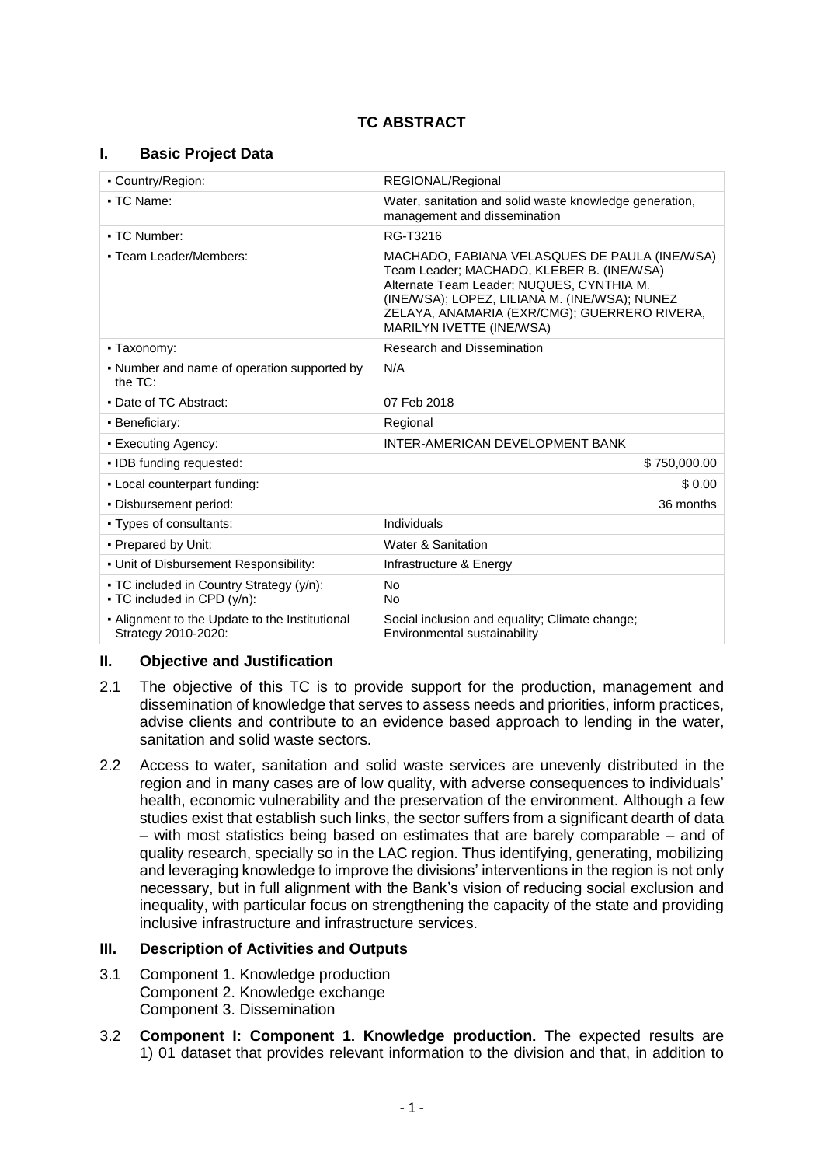# **TC ABSTRACT**

### **I. Basic Project Data**

| • Country/Region:                                                       | REGIONAL/Regional                                                                                                                                                                                                                                                           |  |
|-------------------------------------------------------------------------|-----------------------------------------------------------------------------------------------------------------------------------------------------------------------------------------------------------------------------------------------------------------------------|--|
| • TC Name:                                                              | Water, sanitation and solid waste knowledge generation,<br>management and dissemination                                                                                                                                                                                     |  |
| • TC Number:                                                            | RG-T3216                                                                                                                                                                                                                                                                    |  |
| • Team Leader/Members:                                                  | MACHADO, FABIANA VELASQUES DE PAULA (INE/WSA)<br>Team Leader; MACHADO, KLEBER B. (INE/WSA)<br>Alternate Team Leader; NUQUES, CYNTHIA M.<br>(INE/WSA); LOPEZ, LILIANA M. (INE/WSA); NUNEZ<br>ZELAYA, ANAMARIA (EXR/CMG); GUERRERO RIVERA,<br><b>MARILYN IVETTE (INE/WSA)</b> |  |
| • Taxonomy:                                                             | Research and Dissemination                                                                                                                                                                                                                                                  |  |
| • Number and name of operation supported by<br>the TC:                  | N/A                                                                                                                                                                                                                                                                         |  |
| • Date of TC Abstract:                                                  | 07 Feb 2018                                                                                                                                                                                                                                                                 |  |
| • Beneficiary:                                                          | Regional                                                                                                                                                                                                                                                                    |  |
| • Executing Agency:                                                     | INTER-AMERICAN DEVELOPMENT BANK                                                                                                                                                                                                                                             |  |
| • IDB funding requested:                                                | \$750,000,00                                                                                                                                                                                                                                                                |  |
| - Local counterpart funding:                                            | \$0.00                                                                                                                                                                                                                                                                      |  |
| . Disbursement period:                                                  | 36 months                                                                                                                                                                                                                                                                   |  |
| • Types of consultants:                                                 | Individuals                                                                                                                                                                                                                                                                 |  |
| • Prepared by Unit:                                                     | Water & Sanitation                                                                                                                                                                                                                                                          |  |
| . Unit of Disbursement Responsibility:                                  | Infrastructure & Energy                                                                                                                                                                                                                                                     |  |
| • TC included in Country Strategy (y/n):<br>- TC included in CPD (y/n): | <b>No</b><br><b>No</b>                                                                                                                                                                                                                                                      |  |
| • Alignment to the Update to the Institutional<br>Strategy 2010-2020:   | Social inclusion and equality; Climate change;<br>Environmental sustainability                                                                                                                                                                                              |  |

### **II. Objective and Justification**

- 2.1 The objective of this TC is to provide support for the production, management and dissemination of knowledge that serves to assess needs and priorities, inform practices, advise clients and contribute to an evidence based approach to lending in the water, sanitation and solid waste sectors.
- 2.2 Access to water, sanitation and solid waste services are unevenly distributed in the region and in many cases are of low quality, with adverse consequences to individuals' health, economic vulnerability and the preservation of the environment. Although a few studies exist that establish such links, the sector suffers from a significant dearth of data – with most statistics being based on estimates that are barely comparable – and of quality research, specially so in the LAC region. Thus identifying, generating, mobilizing and leveraging knowledge to improve the divisions' interventions in the region is not only necessary, but in full alignment with the Bank's vision of reducing social exclusion and inequality, with particular focus on strengthening the capacity of the state and providing inclusive infrastructure and infrastructure services.

### **III. Description of Activities and Outputs**

- 3.1 Component 1. Knowledge production Component 2. Knowledge exchange Component 3. Dissemination
- 3.2 **Component I: Component 1. Knowledge production.** The expected results are 1) 01 dataset that provides relevant information to the division and that, in addition to